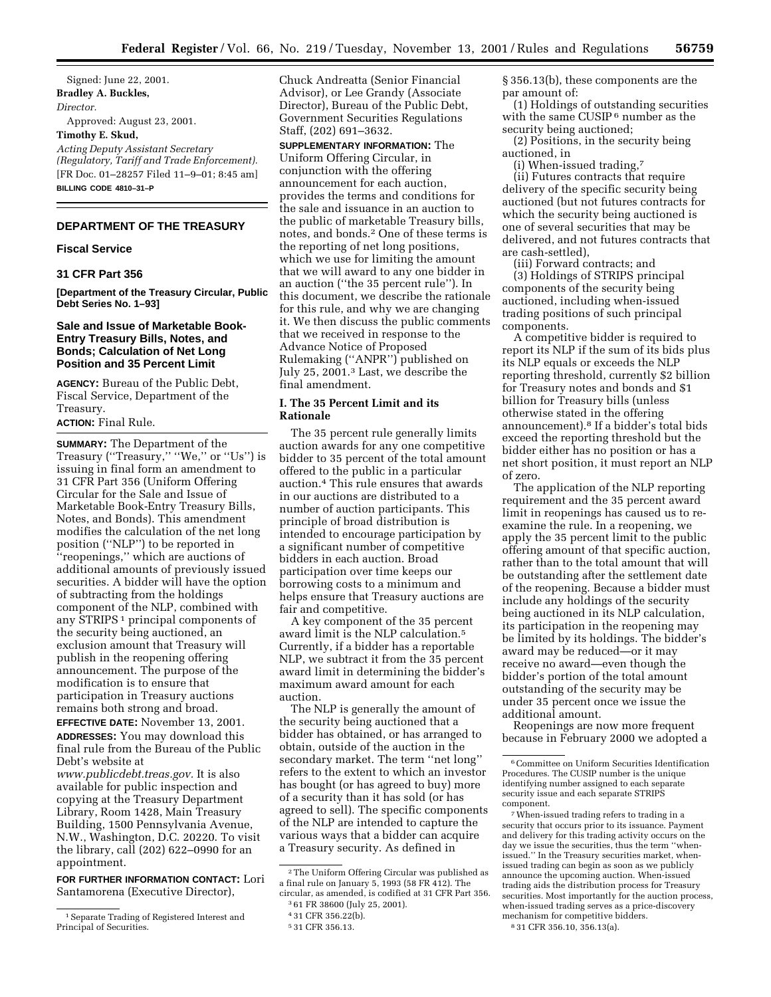Signed: June 22, 2001. **Bradley A. Buckles,** *Director.* Approved: August 23, 2001. **Timothy E. Skud,** *Acting Deputy Assistant Secretary (Regulatory, Tariff and Trade Enforcement).* [FR Doc. 01–28257 Filed 11–9–01; 8:45 am] **BILLING CODE 4810–31–P**

## **DEPARTMENT OF THE TREASURY**

# **Fiscal Service**

#### **31 CFR Part 356**

**[Department of the Treasury Circular, Public Debt Series No. 1–93]**

## **Sale and Issue of Marketable Book-Entry Treasury Bills, Notes, and Bonds; Calculation of Net Long Position and 35 Percent Limit**

**AGENCY:** Bureau of the Public Debt, Fiscal Service, Department of the Treasury.

## **ACTION:** Final Rule.

**SUMMARY:** The Department of the Treasury (''Treasury,'' ''We,'' or ''Us'') is issuing in final form an amendment to 31 CFR Part 356 (Uniform Offering Circular for the Sale and Issue of Marketable Book-Entry Treasury Bills, Notes, and Bonds). This amendment modifies the calculation of the net long position (''NLP'') to be reported in ''reopenings,'' which are auctions of additional amounts of previously issued securities. A bidder will have the option of subtracting from the holdings component of the NLP, combined with any STRIPS 1 principal components of the security being auctioned, an exclusion amount that Treasury will publish in the reopening offering announcement. The purpose of the modification is to ensure that participation in Treasury auctions remains both strong and broad.

**EFFECTIVE DATE:** November 13, 2001. **ADDRESSES:** You may download this final rule from the Bureau of the Public Debt's website at

*www.publicdebt.treas.gov.* It is also available for public inspection and copying at the Treasury Department Library, Room 1428, Main Treasury Building, 1500 Pennsylvania Avenue, N.W., Washington, D.C. 20220. To visit the library, call (202) 622–0990 for an appointment.

**FOR FURTHER INFORMATION CONTACT:** Lori Santamorena (Executive Director),

Chuck Andreatta (Senior Financial Advisor), or Lee Grandy (Associate Director), Bureau of the Public Debt, Government Securities Regulations Staff, (202) 691–3632.

**SUPPLEMENTARY INFORMATION:** The Uniform Offering Circular, in conjunction with the offering announcement for each auction, provides the terms and conditions for the sale and issuance in an auction to the public of marketable Treasury bills, notes, and bonds.2 One of these terms is the reporting of net long positions, which we use for limiting the amount that we will award to any one bidder in an auction (''the 35 percent rule''). In this document, we describe the rationale for this rule, and why we are changing it. We then discuss the public comments that we received in response to the Advance Notice of Proposed Rulemaking (''ANPR'') published on July 25, 2001.3 Last, we describe the final amendment.

## **I. The 35 Percent Limit and its Rationale**

The 35 percent rule generally limits auction awards for any one competitive bidder to 35 percent of the total amount offered to the public in a particular auction.4 This rule ensures that awards in our auctions are distributed to a number of auction participants. This principle of broad distribution is intended to encourage participation by a significant number of competitive bidders in each auction. Broad participation over time keeps our borrowing costs to a minimum and helps ensure that Treasury auctions are fair and competitive.

A key component of the 35 percent award limit is the NLP calculation.5 Currently, if a bidder has a reportable NLP, we subtract it from the 35 percent award limit in determining the bidder's maximum award amount for each auction.

The NLP is generally the amount of the security being auctioned that a bidder has obtained, or has arranged to obtain, outside of the auction in the secondary market. The term ''net long'' refers to the extent to which an investor has bought (or has agreed to buy) more of a security than it has sold (or has agreed to sell). The specific components of the NLP are intended to capture the various ways that a bidder can acquire a Treasury security. As defined in

§ 356.13(b), these components are the par amount of:

(1) Holdings of outstanding securities with the same CUSIP<sup>6</sup> number as the security being auctioned;

(2) Positions, in the security being auctioned, in

(i) When-issued trading,7

(ii) Futures contracts that require delivery of the specific security being auctioned (but not futures contracts for which the security being auctioned is one of several securities that may be delivered, and not futures contracts that are cash-settled),

(iii) Forward contracts; and (3) Holdings of STRIPS principal components of the security being auctioned, including when-issued trading positions of such principal components.

A competitive bidder is required to report its NLP if the sum of its bids plus its NLP equals or exceeds the NLP reporting threshold, currently \$2 billion for Treasury notes and bonds and \$1 billion for Treasury bills (unless otherwise stated in the offering announcement).8 If a bidder's total bids exceed the reporting threshold but the bidder either has no position or has a net short position, it must report an NLP of zero.

The application of the NLP reporting requirement and the 35 percent award limit in reopenings has caused us to reexamine the rule. In a reopening, we apply the 35 percent limit to the public offering amount of that specific auction, rather than to the total amount that will be outstanding after the settlement date of the reopening. Because a bidder must include any holdings of the security being auctioned in its NLP calculation, its participation in the reopening may be limited by its holdings. The bidder's award may be reduced—or it may receive no award—even though the bidder's portion of the total amount outstanding of the security may be under 35 percent once we issue the additional amount.

Reopenings are now more frequent because in February 2000 we adopted a

<sup>1</sup>Separate Trading of Registered Interest and Principal of Securities.

<sup>2</sup>The Uniform Offering Circular was published as a final rule on January 5, 1993 (58 FR 412). The circular, as amended, is codified at 31 CFR Part 356.

<sup>3</sup> 61 FR 38600 (July 25, 2001).

<sup>4</sup> 31 CFR 356.22(b).

<sup>5</sup> 31 CFR 356.13.

 $^6$  Committee on Uniform Securities Identification Procedures. The CUSIP number is the unique identifying number assigned to each separate security issue and each separate STRIPS component.

<sup>7</sup>When-issued trading refers to trading in a security that occurs prior to its issuance. Payment and delivery for this trading activity occurs on the day we issue the securities, thus the term ''whenissued.'' In the Treasury securities market, whenissued trading can begin as soon as we publicly announce the upcoming auction. When-issued trading aids the distribution process for Treasury securities. Most importantly for the auction process, when-issued trading serves as a price-discovery mechanism for competitive bidders. 8 31 CFR 356.10, 356.13(a).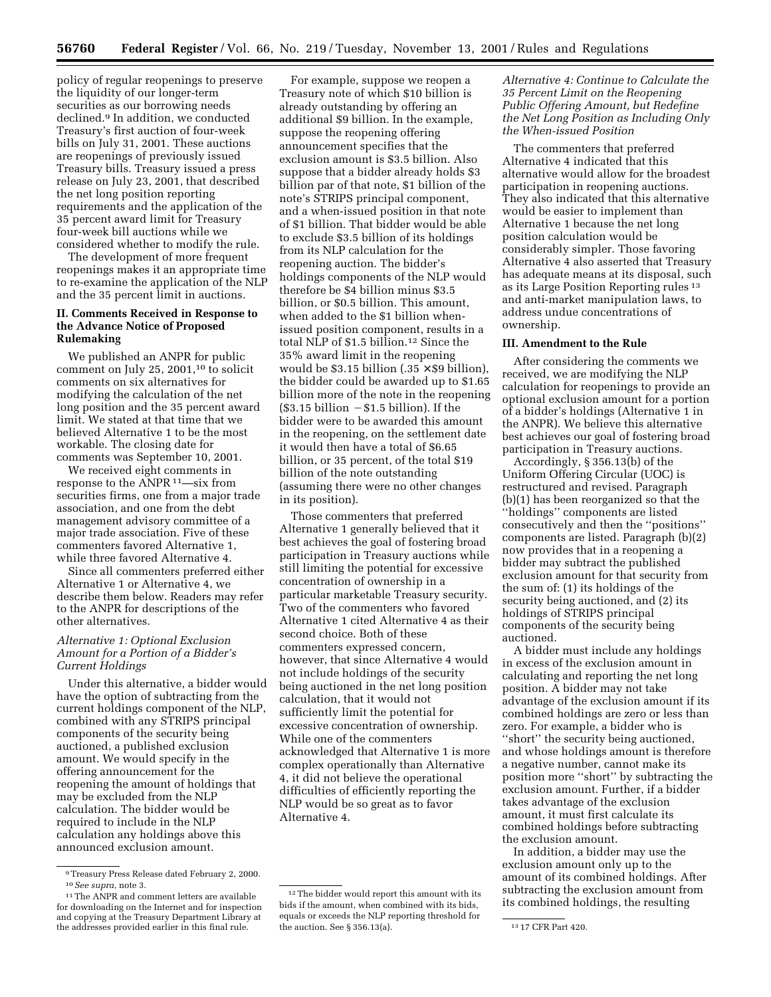policy of regular reopenings to preserve the liquidity of our longer-term securities as our borrowing needs declined.9 In addition, we conducted Treasury's first auction of four-week bills on July 31, 2001. These auctions are reopenings of previously issued Treasury bills. Treasury issued a press release on July 23, 2001, that described the net long position reporting requirements and the application of the 35 percent award limit for Treasury four-week bill auctions while we considered whether to modify the rule.

The development of more frequent reopenings makes it an appropriate time to re-examine the application of the NLP and the 35 percent limit in auctions.

## **II. Comments Received in Response to the Advance Notice of Proposed Rulemaking**

We published an ANPR for public comment on July 25, 2001,10 to solicit comments on six alternatives for modifying the calculation of the net long position and the 35 percent award limit. We stated at that time that we believed Alternative 1 to be the most workable. The closing date for comments was September 10, 2001.

We received eight comments in response to the ANPR<sup>11</sup>—six from securities firms, one from a major trade association, and one from the debt management advisory committee of a major trade association. Five of these commenters favored Alternative 1, while three favored Alternative 4.

Since all commenters preferred either Alternative 1 or Alternative 4, we describe them below. Readers may refer to the ANPR for descriptions of the other alternatives.

## *Alternative 1: Optional Exclusion Amount for a Portion of a Bidder's Current Holdings*

Under this alternative, a bidder would have the option of subtracting from the current holdings component of the NLP, combined with any STRIPS principal components of the security being auctioned, a published exclusion amount. We would specify in the offering announcement for the reopening the amount of holdings that may be excluded from the NLP calculation. The bidder would be required to include in the NLP calculation any holdings above this announced exclusion amount.

For example, suppose we reopen a Treasury note of which \$10 billion is already outstanding by offering an additional \$9 billion. In the example, suppose the reopening offering announcement specifies that the exclusion amount is \$3.5 billion. Also suppose that a bidder already holds \$3 billion par of that note, \$1 billion of the note's STRIPS principal component, and a when-issued position in that note of \$1 billion. That bidder would be able to exclude \$3.5 billion of its holdings from its NLP calculation for the reopening auction. The bidder's holdings components of the NLP would therefore be \$4 billion minus \$3.5 billion, or \$0.5 billion. This amount, when added to the \$1 billion whenissued position component, results in a total NLP of \$1.5 billion.12 Since the 35% award limit in the reopening would be \$3.15 billion (.35  $\times$  \$9 billion), the bidder could be awarded up to \$1.65 billion more of the note in the reopening  $($3.15 \text{ billion} - $1.5 \text{ billion}$ . If the bidder were to be awarded this amount in the reopening, on the settlement date it would then have a total of \$6.65 billion, or 35 percent, of the total \$19 billion of the note outstanding (assuming there were no other changes in its position).

Those commenters that preferred Alternative 1 generally believed that it best achieves the goal of fostering broad participation in Treasury auctions while still limiting the potential for excessive concentration of ownership in a particular marketable Treasury security. Two of the commenters who favored Alternative 1 cited Alternative 4 as their second choice. Both of these commenters expressed concern, however, that since Alternative 4 would not include holdings of the security being auctioned in the net long position calculation, that it would not sufficiently limit the potential for excessive concentration of ownership. While one of the commenters acknowledged that Alternative 1 is more complex operationally than Alternative 4, it did not believe the operational difficulties of efficiently reporting the NLP would be so great as to favor Alternative 4.

*Alternative 4: Continue to Calculate the 35 Percent Limit on the Reopening Public Offering Amount, but Redefine the Net Long Position as Including Only the When-issued Position*

The commenters that preferred Alternative 4 indicated that this alternative would allow for the broadest participation in reopening auctions. They also indicated that this alternative would be easier to implement than Alternative 1 because the net long position calculation would be considerably simpler. Those favoring Alternative 4 also asserted that Treasury has adequate means at its disposal, such as its Large Position Reporting rules 13 and anti-market manipulation laws, to address undue concentrations of ownership.

#### **III. Amendment to the Rule**

After considering the comments we received, we are modifying the NLP calculation for reopenings to provide an optional exclusion amount for a portion of a bidder's holdings (Alternative 1 in the ANPR). We believe this alternative best achieves our goal of fostering broad participation in Treasury auctions.

Accordingly, § 356.13(b) of the Uniform Offering Circular (UOC) is restructured and revised. Paragraph (b)(1) has been reorganized so that the ''holdings'' components are listed consecutively and then the ''positions'' components are listed. Paragraph (b)(2) now provides that in a reopening a bidder may subtract the published exclusion amount for that security from the sum of: (1) its holdings of the security being auctioned, and (2) its holdings of STRIPS principal components of the security being auctioned.

A bidder must include any holdings in excess of the exclusion amount in calculating and reporting the net long position. A bidder may not take advantage of the exclusion amount if its combined holdings are zero or less than zero. For example, a bidder who is "short" the security being auctioned, and whose holdings amount is therefore a negative number, cannot make its position more ''short'' by subtracting the exclusion amount. Further, if a bidder takes advantage of the exclusion amount, it must first calculate its combined holdings before subtracting the exclusion amount.

In addition, a bidder may use the exclusion amount only up to the amount of its combined holdings. After subtracting the exclusion amount from its combined holdings, the resulting

<sup>9</sup>Treasury Press Release dated February 2, 2000. 10*See supra*, note 3.

<sup>11</sup>The ANPR and comment letters are available for downloading on the Internet and for inspection and copying at the Treasury Department Library at the addresses provided earlier in this final rule.

<sup>12</sup>The bidder would report this amount with its bids if the amount, when combined with its bids, equals or exceeds the NLP reporting threshold for the auction. See § 356.13(a). 13 17 CFR Part 420.